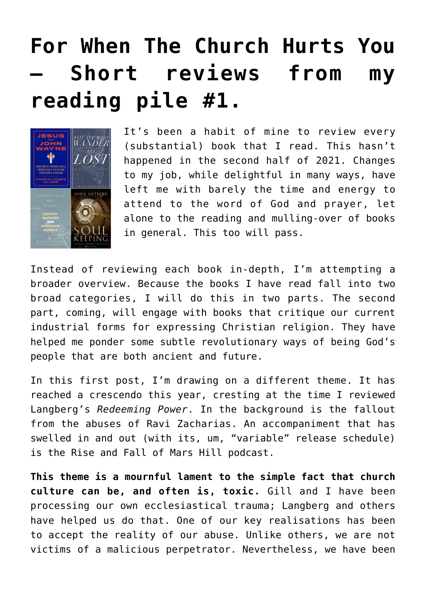## **[For When The Church Hurts You](https://briggs.id.au/jour/2022/01/for-when-the-church-hurts-you-short-reviews-from-my-reading-pile/) [– Short reviews from my](https://briggs.id.au/jour/2022/01/for-when-the-church-hurts-you-short-reviews-from-my-reading-pile/) [reading pile #1.](https://briggs.id.au/jour/2022/01/for-when-the-church-hurts-you-short-reviews-from-my-reading-pile/)**



It's been a habit of mine to review every (substantial) book that I read. This hasn't happened in the second half of 2021. Changes to my job, while delightful in many ways, have left me with barely the time and energy to attend to the word of God and prayer, let alone to the reading and mulling-over of books in general. This too will pass.

Instead of reviewing each book in-depth, I'm attempting a broader overview. Because the books I have read fall into two broad categories, I will do this in two parts. The second part, coming, will engage with books that critique our current industrial forms for expressing Christian religion. They have helped me ponder some subtle revolutionary ways of being God's people that are both ancient and future.

In this first post, I'm drawing on a different theme. It has reached a crescendo this year, cresting at the time I reviewed [Langberg's](https://briggs.id.au/jour/2021/05/redeeming-power-understanding-authority-and-abuse-in-the-church/) *[Redeeming Power](https://briggs.id.au/jour/2021/05/redeeming-power-understanding-authority-and-abuse-in-the-church/)*. In the background is the fallout from [the abuses of Ravi Zacharias](https://www.youtube.com/watch?v=oHUU-nVKT-0). An accompaniment that has swelled in and out (with its, um, "variable" release schedule) is the [Rise and Fall of Mars Hill](https://www.christianitytoday.com/ct/podcasts/rise-and-fall-of-mars-hill/) podcast.

**This theme is a mournful lament to the simple fact that church culture can be, and often is, toxic.** Gill and I have been processing our own ecclesiastical trauma; Langberg and others have helped us do that. One of our key realisations has been to accept the reality of our abuse. Unlike others, we are not victims of a malicious perpetrator. Nevertheless, we have been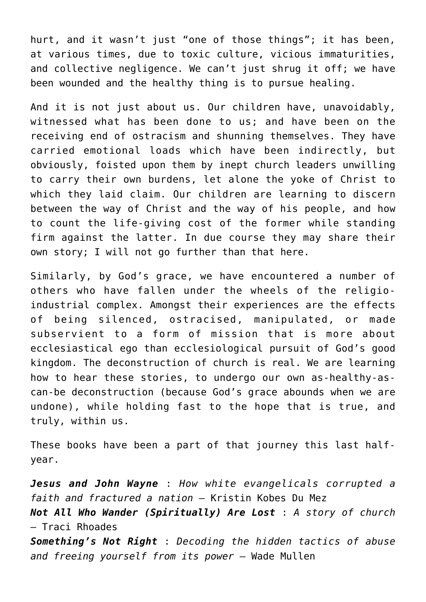hurt, and it wasn't just "one of those things"; it has been, at various times, due to toxic culture, vicious immaturities, and collective negligence. We can't just shrug it off; we have been wounded and the healthy thing is to pursue healing.

And it is not just about us. Our children have, unavoidably, witnessed what has been done to us; and have been on the receiving end of ostracism and shunning themselves. They have carried emotional loads which have been indirectly, but obviously, foisted upon them by inept church leaders unwilling to carry their own burdens, let alone the yoke of Christ to which they laid claim. Our children are learning to discern between the way of Christ and the way of his people, and how to count the life-giving cost of the former while standing firm against the latter. In due course they may share their own story; I will not go further than that here.

Similarly, by God's grace, we have encountered a number of others who have fallen under the wheels of the religioindustrial complex. Amongst their experiences are the effects of being silenced, ostracised, manipulated, or made subservient to a form of mission that is more about ecclesiastical ego than ecclesiological pursuit of God's good kingdom. The deconstruction of church is real. We are learning how to hear these stories, to undergo our own as-healthy-ascan-be deconstruction (because God's grace abounds when we are undone), while holding fast to the hope that is true, and truly, within us.

These books have been a part of that journey this last halfyear.

*[Jesus and John Wayne](#page--1-0)* [:](#page--1-0) *How white evangelicals corrupted a faith and fractured a nation* – Kristin Kobes Du Mez *[Not All Who Wander \(Spiritually\) Are Lost](#page--1-0)* : *A story of church* – Traci Rhoades *[Something's Not Right](#page--1-0)* : *Decoding the hidden tactics of abuse and freeing yourself from its power* – Wade Mullen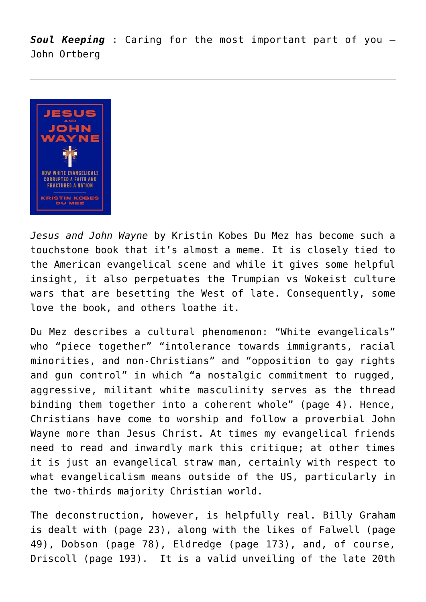*[Soul Keeping](#page--1-0)* : Caring for the most important part of you – John Ortberg



*Jesus and John Wayne* by Kristin Kobes Du Mez has become such a touchstone book that it's almost a meme. It is closely tied to the American evangelical scene and while it gives some helpful insight, it also perpetuates the Trumpian vs Wokeist culture wars that are besetting the West of late. Consequently, some love the book, and others loathe it.

Du Mez describes a cultural phenomenon: "White evangelicals" who "piece together" "intolerance towards immigrants, racial minorities, and non-Christians" and "opposition to gay rights and gun control" in which "a nostalgic commitment to rugged, aggressive, militant white masculinity serves as the thread binding them together into a coherent whole" (page 4). Hence, Christians have come to worship and follow a proverbial John Wayne more than Jesus Christ. At times my evangelical friends need to read and inwardly mark this critique; at other times it is just an evangelical straw man, certainly with respect to what evangelicalism means outside of the US, particularly in the two-thirds majority Christian world.

The deconstruction, however, is helpfully real. Billy Graham is dealt with (page 23), along with the likes of Falwell (page 49), Dobson (page 78), Eldredge (page 173), and, of course, Driscoll (page 193). It is a valid unveiling of the late 20th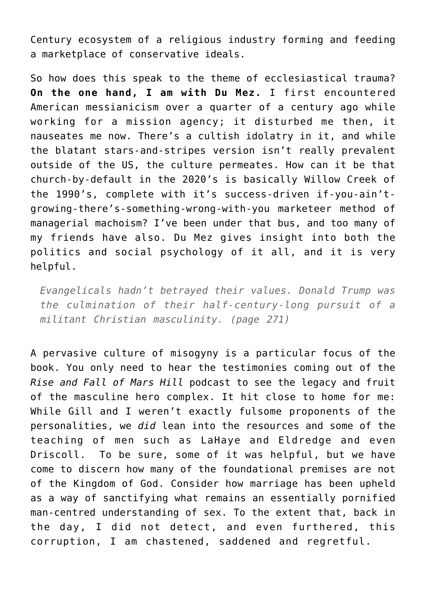Century ecosystem of a religious industry forming and feeding a marketplace of conservative ideals.

So how does this speak to the theme of ecclesiastical trauma? **On the one hand, I am with Du Mez.** I first encountered American messianicism over a quarter of a century ago while working for a mission agency; it disturbed me then, it nauseates me now. There's a cultish idolatry in it, and while the blatant stars-and-stripes version isn't really prevalent outside of the US, the culture permeates. How can it be that church-by-default in the 2020's is basically Willow Creek of the 1990's, complete with it's success-driven if-you-ain'tgrowing-there's-something-wrong-with-you marketeer method of managerial machoism? I've been under that bus, and too many of my friends have also. Du Mez gives insight into both the politics and social psychology of it all, and it is very helpful.

*Evangelicals hadn't betrayed their values. Donald Trump was the culmination of their half-century-long pursuit of a militant Christian masculinity. (page 271)*

A pervasive culture of misogyny is a particular focus of the book. You only need to hear the testimonies coming out of the *Rise and Fall of Mars Hill* podcast to see the legacy and fruit of the masculine hero complex. It hit close to home for me: While Gill and I weren't exactly fulsome proponents of the personalities, we *did* lean into the resources and some of the teaching of men such as LaHaye and Eldredge and even Driscoll. To be sure, some of it was helpful, but we have come to discern how many of the foundational premises are not of the Kingdom of God. Consider how marriage has been upheld as a way of sanctifying what remains an essentially pornified man-centred understanding of sex. To the extent that, back in the day, I did not detect, and even furthered, this corruption, I am chastened, saddened and regretful.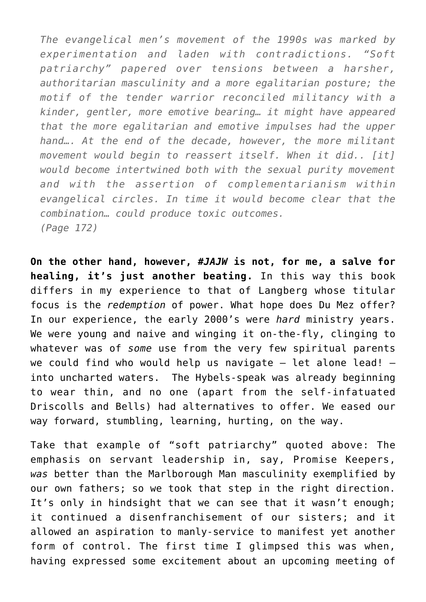*The evangelical men's movement of the 1990s was marked by experimentation and laden with contradictions. "Soft patriarchy" papered over tensions between a harsher, authoritarian masculinity and a more egalitarian posture; the motif of the tender warrior reconciled militancy with a kinder, gentler, more emotive bearing… it might have appeared that the more egalitarian and emotive impulses had the upper hand…. At the end of the decade, however, the more militant movement would begin to reassert itself. When it did.. [it] would become intertwined both with the sexual purity movement and with the assertion of complementarianism within evangelical circles. In time it would become clear that the combination… could produce toxic outcomes. (Page 172)*

**On the other hand, however, #***JAJW* **is not, for me, a salve for healing, it's just another beating.** In this way this book differs in my experience to that of [Langberg](https://briggs.id.au/jour/2021/05/redeeming-power-understanding-authority-and-abuse-in-the-church/) whose titular focus is the *redemption* of power. What hope does Du Mez offer? In our experience, the early 2000's were *hard* ministry years. We were young and naive and winging it on-the-fly, clinging to whatever was of *some* use from the very few spiritual parents we could find who would help us navigate  $-$  let alone lead!  $$ into uncharted waters. The Hybels-speak was already beginning to wear thin, and no one (apart from the self-infatuated Driscolls and Bells) had alternatives to offer. We eased our way forward, stumbling, learning, hurting, on the way.

Take that example of "soft patriarchy" quoted above: The emphasis on servant leadership in, say, Promise Keepers, *was* better than the Marlborough Man masculinity exemplified by our own fathers; so we took that step in the right direction. It's only in hindsight that we can see that it wasn't enough; it continued a disenfranchisement of our sisters; and it allowed an aspiration to manly-service to manifest yet another form of control. The first time I glimpsed this was when, having expressed some excitement about an upcoming meeting of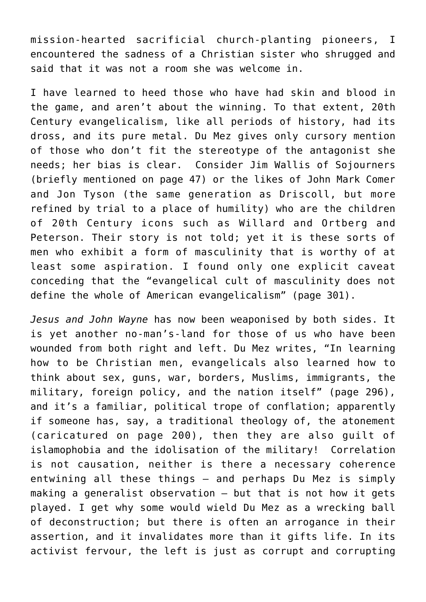mission-hearted sacrificial church-planting pioneers, I encountered the sadness of a Christian sister who shrugged and said that it was not a room she was welcome in.

I have learned to heed those who have had skin and blood in the game, and aren't about the winning. To that extent, 20th Century evangelicalism, like all periods of history, had its dross, and its pure metal. Du Mez gives only cursory mention of those who don't fit the stereotype of the antagonist she needs; her bias is clear. Consider Jim Wallis of Sojourners (briefly mentioned on page 47) or the likes of John Mark Comer and Jon Tyson (the same generation as Driscoll, but more refined by trial to a place of humility) who are the children of 20th Century icons such as Willard and Ortberg and Peterson. Their story is not told; yet it is these sorts of men who exhibit a form of masculinity that is worthy of at least some aspiration. I found only one explicit caveat conceding that the "evangelical cult of masculinity does not define the whole of American evangelicalism" (page 301).

*Jesus and John Wayne* has now been weaponised by both sides. It is yet another no-man's-land for those of us who have been wounded from both right and left. Du Mez writes, "In learning how to be Christian men, evangelicals also learned how to think about sex, guns, war, borders, Muslims, immigrants, the military, foreign policy, and the nation itself" (page 296), and it's a familiar, political trope of conflation; apparently if someone has, say, a traditional theology of, the atonement (caricatured on page 200), then they are also guilt of islamophobia and the idolisation of the military! Correlation is not causation, neither is there a necessary coherence entwining all these things – and perhaps Du Mez is simply making a generalist observation – but that is not how it gets played. I get why some would wield Du Mez as a wrecking ball of deconstruction; but there is often an arrogance in their assertion, and it invalidates more than it gifts life. In its activist fervour, the left is just as corrupt and corrupting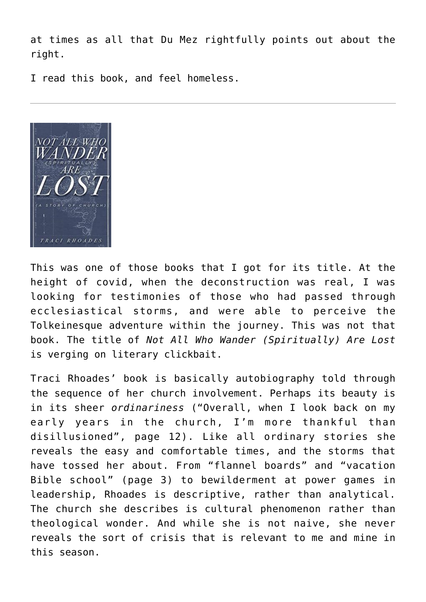at times as all that Du Mez rightfully points out about the right.

I read this book, and feel homeless.



This was one of those books that I got for its title. At the height of covid, when the deconstruction was real, I was looking for testimonies of those who had passed through ecclesiastical storms, and were able to perceive the Tolkeinesque adventure within the journey. This was not that book. The title of *Not All Who Wander (Spiritually) Are Lost* is verging on literary clickbait.

Traci Rhoades' book is basically autobiography told through the sequence of her church involvement. Perhaps its beauty is in its sheer *ordinariness* ("Overall, when I look back on my early years in the church, I'm more thankful than disillusioned", page 12). Like all ordinary stories she reveals the easy and comfortable times, and the storms that have tossed her about. From "flannel boards" and "vacation Bible school" (page 3) to bewilderment at power games in leadership, Rhoades is descriptive, rather than analytical. The church she describes is cultural phenomenon rather than theological wonder. And while she is not naive, she never reveals the sort of crisis that is relevant to me and mine in this season.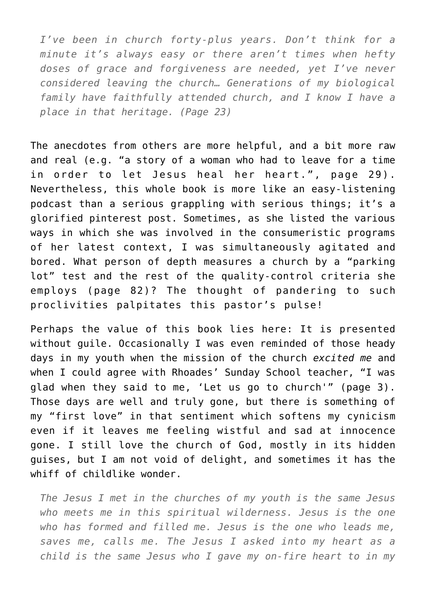*I've been in church forty-plus years. Don't think for a minute it's always easy or there aren't times when hefty doses of grace and forgiveness are needed, yet I've never considered leaving the church… Generations of my biological family have faithfully attended church, and I know I have a place in that heritage. (Page 23)*

The anecdotes from others are more helpful, and a bit more raw and real (e.g. "a story of a woman who had to leave for a time in order to let Jesus heal her heart.", page 29). Nevertheless, this whole book is more like an easy-listening podcast than a serious grappling with serious things; it's a glorified pinterest post. Sometimes, as she listed the various ways in which she was involved in the consumeristic programs of her latest context, I was simultaneously agitated and bored. What person of depth measures a church by a "parking lot" test and the rest of the quality-control criteria she employs (page 82)? The thought of pandering to such proclivities palpitates this pastor's pulse!

Perhaps the value of this book lies here: It is presented without guile. Occasionally I was even reminded of those heady days in my youth when the mission of the church *excited me* and when I could agree with Rhoades' Sunday School teacher, "I was glad when they said to me, 'Let us go to church'" (page 3). Those days are well and truly gone, but there is something of my "first love" in that sentiment which softens my cynicism even if it leaves me feeling wistful and sad at innocence gone. I still love the church of God, mostly in its hidden guises, but I am not void of delight, and sometimes it has the whiff of childlike wonder.

*The Jesus I met in the churches of my youth is the same Jesus who meets me in this spiritual wilderness. Jesus is the one who has formed and filled me. Jesus is the one who leads me, saves me, calls me. The Jesus I asked into my heart as a child is the same Jesus who I gave my on-fire heart to in my*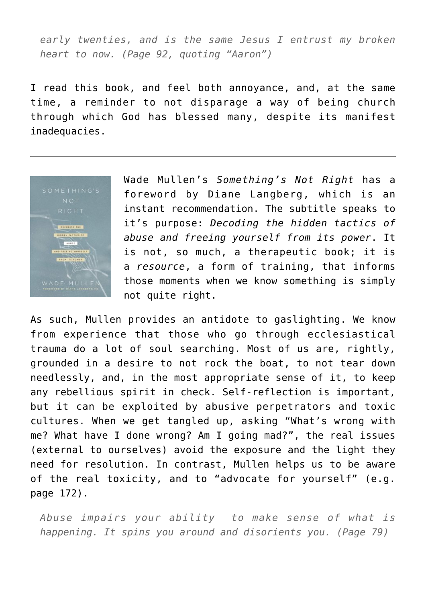*early twenties, and is the same Jesus I entrust my broken heart to now. (Page 92, quoting "Aaron")*

I read this book, and feel both annoyance, and, at the same time, a reminder to not disparage a way of being church through which God has blessed many, despite its manifest inadequacies.



Wade Mullen's *Something's Not Right* has a foreword by Diane Langberg, which is an instant recommendation. The subtitle speaks to it's purpose: *Decoding the hidden tactics of abuse and freeing yourself from its power*. It is not, so much, a therapeutic book; it is a *resource*, a form of training, that informs those moments when we know something is simply not quite right.

As such, Mullen provides an antidote to gaslighting. We know from experience that those who go through ecclesiastical trauma do a lot of soul searching. Most of us are, rightly, grounded in a desire to not rock the boat, to not tear down needlessly, and, in the most appropriate sense of it, to keep any rebellious spirit in check. Self-reflection is important, but it can be exploited by abusive perpetrators and toxic cultures. When we get tangled up, asking "What's wrong with me? What have I done wrong? Am I going mad?", the real issues (external to ourselves) avoid the exposure and the light they need for resolution. In contrast, Mullen helps us to be aware of the real toxicity, and to "advocate for yourself" (e.g. page 172).

*Abuse impairs your ability to make sense of what is happening. It spins you around and disorients you. (Page 79)*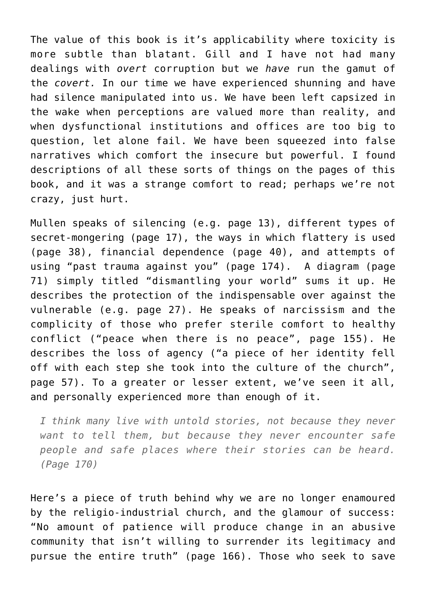The value of this book is it's applicability where toxicity is more subtle than blatant. Gill and I have not had many dealings with *overt* corruption but we *have* run the gamut of the *covert.* In our time we have experienced shunning and have had silence manipulated into us. We have been left capsized in the wake when perceptions are valued more than reality, and when dysfunctional institutions and offices are too big to question, let alone fail. We have been squeezed into false narratives which comfort the insecure but powerful. I found descriptions of all these sorts of things on the pages of this book, and it was a strange comfort to read; perhaps we're not crazy, just hurt.

Mullen speaks of silencing (e.g. page 13), different types of secret-mongering (page 17), the ways in which flattery is used (page 38), financial dependence (page 40), and attempts of using "past trauma against you" (page 174). A diagram (page 71) simply titled "dismantling your world" sums it up. He describes the protection of the indispensable over against the vulnerable (e.g. page 27). He speaks of narcissism and the complicity of those who prefer sterile comfort to healthy conflict ("peace when there is no peace", page 155). He describes the loss of agency ("a piece of her identity fell off with each step she took into the culture of the church", page 57). To a greater or lesser extent, we've seen it all, and personally experienced more than enough of it.

*I think many live with untold stories, not because they never want to tell them, but because they never encounter safe people and safe places where their stories can be heard. (Page 170)*

Here's a piece of truth behind why we are no longer enamoured by the religio-industrial church, and the glamour of success: "No amount of patience will produce change in an abusive community that isn't willing to surrender its legitimacy and pursue the entire truth" (page 166). Those who seek to save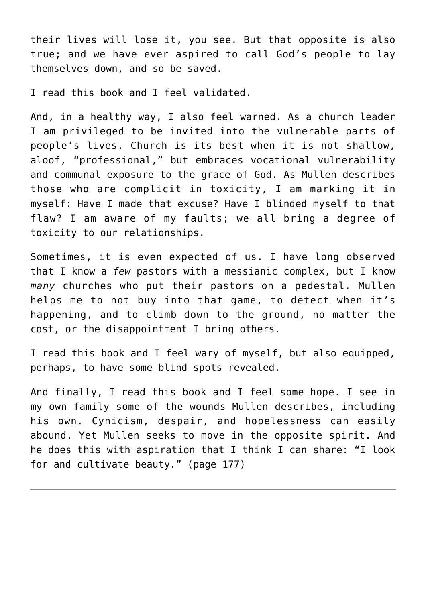their lives will lose it, you see. But that opposite is also true; and we have ever aspired to call God's people to lay themselves down, and so be saved.

I read this book and I feel validated.

And, in a healthy way, I also feel warned. As a church leader I am privileged to be invited into the vulnerable parts of people's lives. Church is its best when it is not shallow, aloof, "professional," but embraces vocational vulnerability and communal exposure to the grace of God. As Mullen describes those who are complicit in toxicity, I am marking it in myself: Have I made that excuse? Have I blinded myself to that flaw? I am aware of my faults; we all bring a degree of toxicity to our relationships.

Sometimes, it is even expected of us. I have long observed that I know a *few* pastors with a messianic complex, but I know *many* churches who put their pastors on a pedestal. Mullen helps me to not buy into that game, to detect when it's happening, and to climb down to the ground, no matter the cost, or the disappointment I bring others.

I read this book and I feel wary of myself, but also equipped, perhaps, to have some blind spots revealed.

And finally, I read this book and I feel some hope. I see in my own family some of the wounds Mullen describes, including his own. Cynicism, despair, and hopelessness can easily abound. Yet Mullen seeks to move in the opposite spirit. And he does this with aspiration that I think I can share: "I look for and cultivate beauty." (page 177)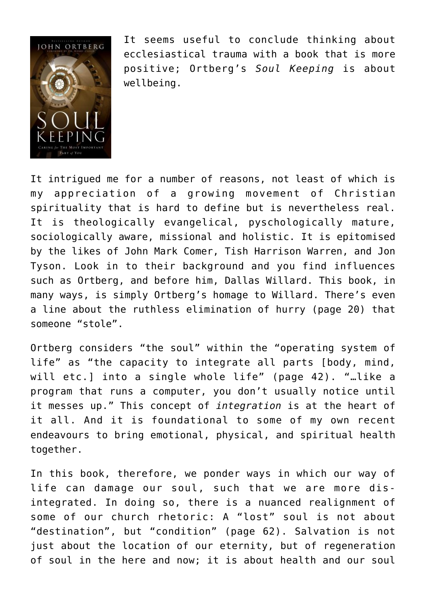

It seems useful to conclude thinking about ecclesiastical trauma with a book that is more positive; Ortberg's *Soul Keeping* is about wellbeing.

It intrigued me for a number of reasons, not least of which is my appreciation of a growing movement of Christian spirituality that is hard to define but is nevertheless real. It is theologically evangelical, pyschologically mature, sociologically aware, missional and holistic. It is epitomised by the likes of John Mark Comer, Tish Harrison Warren, and Jon Tyson. Look in to their background and you find influences such as Ortberg, and before him, Dallas Willard. This book, in many ways, is simply Ortberg's homage to Willard. There's even a line about the ruthless elimination of hurry (page 20) that someone "stole".

Ortberg considers "the soul" within the "operating system of life" as "the capacity to integrate all parts [body, mind, will etc.] into a single whole life" (page 42). "…like a program that runs a computer, you don't usually notice until it messes up." This concept of *integration* is at the heart of it all. And it is foundational to some of [my own recent](https://briggs.id.au/jour/2021/12/loving-where-you-put-your-feet/) [endeavours](https://briggs.id.au/jour/2021/12/loving-where-you-put-your-feet/) to bring emotional, physical, and spiritual health together.

In this book, therefore, we ponder ways in which our way of life can damage our soul, such that we are more disintegrated. In doing so, there is a nuanced realignment of some of our church rhetoric: A "lost" soul is not about "destination", but "condition" (page 62). Salvation is not just about the location of our eternity, but of regeneration of soul in the here and now; it is about health and our soul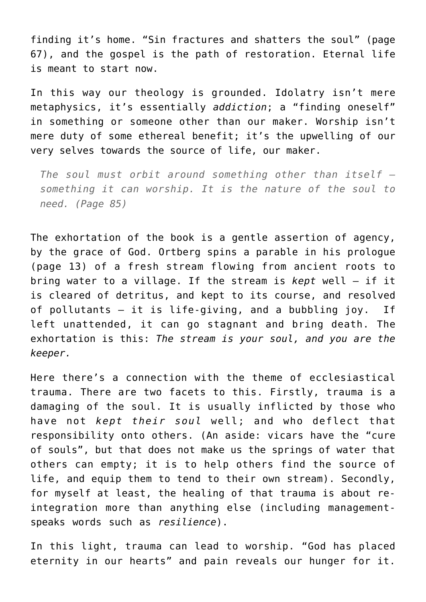finding it's home. "Sin fractures and shatters the soul" (page 67), and the gospel is the path of restoration. Eternal life is meant to start now.

In this way our theology is grounded. Idolatry isn't mere metaphysics, it's essentially *addiction*; a "finding oneself" in something or someone other than our maker. Worship isn't mere duty of some ethereal benefit; it's the upwelling of our very selves towards the source of life, our maker.

*The soul must orbit around something other than itself – something it can worship. It is the nature of the soul to need. (Page 85)*

The exhortation of the book is a gentle assertion of agency, by the grace of God. Ortberg spins a parable in his prologue (page 13) of a fresh stream flowing from ancient roots to bring water to a village. If the stream is *kept* well – if it is cleared of detritus, and kept to its course, and resolved of pollutants – it is life-giving, and a bubbling joy. If left unattended, it can go stagnant and bring death. The exhortation is this: *The stream is your soul, and you are the keeper.*

Here there's a connection with the theme of ecclesiastical trauma. There are two facets to this. Firstly, trauma is a damaging of the soul. It is usually inflicted by those who have not *kept their soul* well; and who deflect that responsibility onto others. (An aside: vicars have the "cure of souls", but that does not make us the springs of water that others can empty; it is to help others find the source of life, and equip them to tend to their own stream). Secondly, for myself at least, the healing of that trauma is about reintegration more than anything else (including managementspeaks words such as *resilience*).

In this light, trauma can lead to worship. "God has placed eternity in our hearts" and pain reveals our hunger for it.